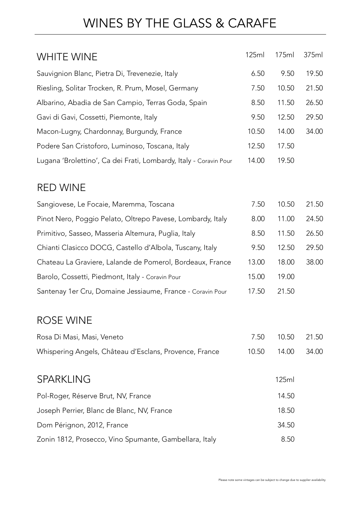### WINES BY THE GLASS & CARAFE

| <b>WHITE WINE</b>                                                 | 125ml | 175ml | 375ml |
|-------------------------------------------------------------------|-------|-------|-------|
| Sauvignion Blanc, Pietra Di, Trevenezie, Italy                    | 6.50  | 9.50  | 19.50 |
| Riesling, Solitar Trocken, R. Prum, Mosel, Germany                | 7.50  | 10.50 | 21.50 |
| Albarino, Abadia de San Campio, Terras Goda, Spain                | 8.50  | 11.50 | 26.50 |
| Gavi di Gavi, Cossetti, Piemonte, Italy                           | 9.50  | 12.50 | 29.50 |
| Macon-Lugny, Chardonnay, Burgundy, France                         | 10.50 | 14.00 | 34.00 |
| Podere San Cristoforo, Luminoso, Toscana, Italy                   | 12.50 | 17.50 |       |
| Lugana 'Brolettino', Ca dei Frati, Lombardy, Italy - Coravin Pour | 14.00 | 19.50 |       |
| <b>RED WINE</b>                                                   |       |       |       |
| Sangiovese, Le Focaie, Maremma, Toscana                           | 7.50  | 10.50 | 21.50 |
| Pinot Nero, Poggio Pelato, Oltrepo Pavese, Lombardy, Italy        | 8.00  | 11.00 | 24.50 |
| Primitivo, Sasseo, Masseria Altemura, Puglia, Italy               | 8.50  | 11.50 | 26.50 |
| Chianti Clasicco DOCG, Castello d'Albola, Tuscany, Italy          | 9.50  | 12.50 | 29.50 |
| Chateau La Graviere, Lalande de Pomerol, Bordeaux, France         | 13.00 | 18.00 | 38.00 |
| Barolo, Cossetti, Piedmont, Italy - Coravin Pour                  | 15.00 | 19.00 |       |
| Santenay 1er Cru, Domaine Jessiaume, France - Coravin Pour        | 17.50 | 21.50 |       |
| <b>ROSE WINE</b>                                                  |       |       |       |
| Rosa Di Masi, Masi, Veneto                                        | 7.50  | 10.50 | 21.50 |
| Whispering Angels, Château d'Esclans, Provence, France            | 10.50 | 14.00 | 34.00 |
| <b>SPARKLING</b>                                                  |       | 125ml |       |
| Pol-Roger, Réserve Brut, NV, France                               |       | 14.50 |       |
|                                                                   |       |       |       |

Joseph Perrier, Blanc de Blanc, NV, France 18.50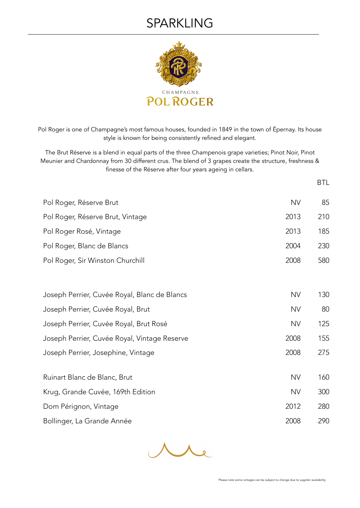#### SPARKLING



Pol Roger is one of Champagne's most famous houses, founded in 1849 in the town of Épernay. Its house style is known for being consistently refined and elegant.

The Brut Réserve is a blend in equal parts of the three Champenois grape varieties; Pinot Noir, Pinot Meunier and Chardonnay from 30 different crus. The blend of 3 grapes create the structure, freshness & finesse of the Réserve after four years ageing in cellars.

| Pol Roger, Réserve Brut                      | <b>NV</b> | 85  |
|----------------------------------------------|-----------|-----|
| Pol Roger, Réserve Brut, Vintage             | 2013      | 210 |
| Pol Roger Rosé, Vintage                      | 2013      | 185 |
| Pol Roger, Blanc de Blancs                   | 2004      | 230 |
| Pol Roger, Sir Winston Churchill             | 2008      | 580 |
|                                              |           |     |
| Joseph Perrier, Cuvée Royal, Blanc de Blancs | <b>NV</b> | 130 |
| Joseph Perrier, Cuvée Royal, Brut            | <b>NV</b> | 80  |
| Joseph Perrier, Cuvée Royal, Brut Rosé       | <b>NV</b> | 125 |
| Joseph Perrier, Cuvée Royal, Vintage Reserve | 2008      | 155 |
| Joseph Perrier, Josephine, Vintage           | 2008      | 275 |
| Ruinart Blanc de Blanc, Brut                 | <b>NV</b> | 160 |
| Krug, Grande Cuvée, 169th Edition            | <b>NV</b> | 300 |
| Dom Pérignon, Vintage                        | 2012      | 280 |
| Bollinger, La Grande Année                   | 2008      | 290 |



BTL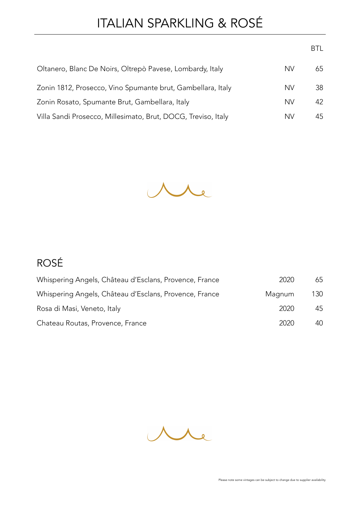# ITALIAN SPARKLING & ROSÉ

|                                                               |           | BTL. |
|---------------------------------------------------------------|-----------|------|
| Oltanero, Blanc De Noirs, Oltrepò Pavese, Lombardy, Italy     | NV        | 65   |
| Zonin 1812, Prosecco, Vino Spumante brut, Gambellara, Italy   | <b>NV</b> | 38   |
| Zonin Rosato, Spumante Brut, Gambellara, Italy                | <b>NV</b> | 42   |
| Villa Sandi Prosecco, Millesimato, Brut, DOCG, Treviso, Italy | NV        | 45   |



#### ROSÉ

| Whispering Angels, Château d'Esclans, Provence, France | 2020   | 65  |
|--------------------------------------------------------|--------|-----|
| Whispering Angels, Château d'Esclans, Provence, France | Magnum | 130 |
| Rosa di Masi, Veneto, Italy                            | -2020  | 45  |
| Chateau Routas, Provence, France                       | 2020   | 40  |

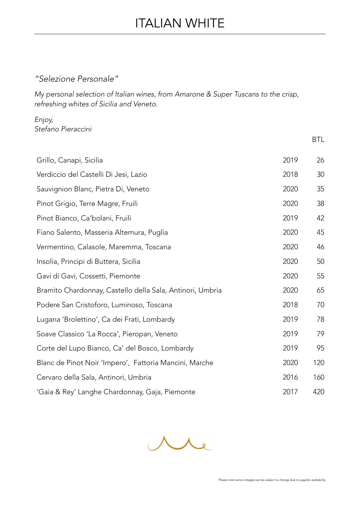#### *"Selezione Personale"*

*My personal selection of Italian wines, from Amarone & Super Tuscans to the crisp, refreshing whites of Sicilia and Veneto.* 

*Enjoy, Stefano Pieraccini*

|                                                           |      | BTL |
|-----------------------------------------------------------|------|-----|
| Grillo, Canapi, Sicilia                                   | 2019 | 26  |
| Verdiccio del Castelli Di Jesi, Lazio                     | 2018 | 30  |
| Sauvignion Blanc, Pietra Di, Veneto                       | 2020 | 35  |
| Pinot Grigio, Terre Magre, Fruili                         | 2020 | 38  |
| Pinot Bianco, Ca'bolani, Fruili                           | 2019 | 42  |
| Fiano Salento, Masseria Altemura, Puglia                  | 2020 | 45  |
| Vermentino, Calasole, Maremma, Toscana                    | 2020 | 46  |
| Insolia, Principi di Buttera, Sicilia                     | 2020 | 50  |
| Gavi di Gavi, Cossetti, Piemonte                          | 2020 | 55  |
| Bramito Chardonnay, Castello della Sala, Antinori, Umbria | 2020 | 65  |
| Podere San Cristoforo, Luminoso, Toscana                  | 2018 | 70  |
| Lugana 'Brolettino', Ca dei Frati, Lombardy               | 2019 | 78  |
| Soave Classico 'La Rocca', Pieropan, Veneto               | 2019 | 79  |
| Corte del Lupo Bianco, Ca' del Bosco, Lombardy            | 2019 | 95  |
| Blanc de Pinot Noir 'Impero', Fattoria Mancini, Marche    | 2020 | 120 |
| Cervaro della Sala, Antinori, Umbria                      | 2016 | 160 |
| 'Gaia & Rey' Langhe Chardonnay, Gaja, Piemonte            | 2017 | 420 |

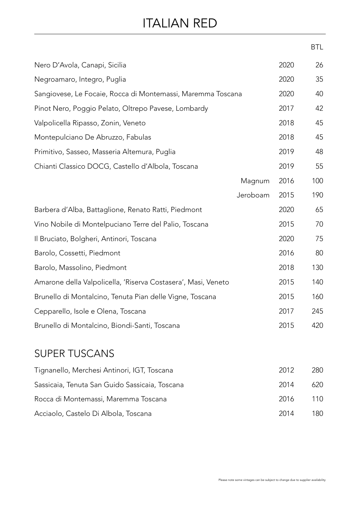### ITALIAN RED

|                                                               |      | <b>BTL</b> |
|---------------------------------------------------------------|------|------------|
| Nero D'Avola, Canapi, Sicilia                                 | 2020 | 26         |
| Negroamaro, Integro, Puglia                                   | 2020 | 35         |
| Sangiovese, Le Focaie, Rocca di Montemassi, Maremma Toscana   | 2020 | 40         |
| Pinot Nero, Poggio Pelato, Oltrepo Pavese, Lombardy           | 2017 | 42         |
| Valpolicella Ripasso, Zonin, Veneto                           | 2018 | 45         |
| Montepulciano De Abruzzo, Fabulas                             | 2018 | 45         |
| Primitivo, Sasseo, Masseria Altemura, Puglia                  | 2019 | 48         |
| Chianti Classico DOCG, Castello d'Albola, Toscana             | 2019 | 55         |
| Magnum                                                        | 2016 | 100        |
| Jeroboam                                                      | 2015 | 190        |
| Barbera d'Alba, Battaglione, Renato Ratti, Piedmont           | 2020 | 65         |
| Vino Nobile di Montelpuciano Terre del Palio, Toscana         | 2015 | 70         |
| Il Bruciato, Bolgheri, Antinori, Toscana                      | 2020 | 75         |
| Barolo, Cossetti, Piedmont                                    | 2016 | 80         |
| Barolo, Massolino, Piedmont                                   | 2018 | 130        |
| Amarone della Valpolicella, 'Riserva Costasera', Masi, Veneto | 2015 | 140        |
| Brunello di Montalcino, Tenuta Pian delle Vigne, Toscana      | 2015 | 160        |
| Cepparello, Isole e Olena, Toscana                            | 2017 | 245        |
| Brunello di Montalcino, Biondi-Santi, Toscana                 | 2015 | 420        |

#### SUPER TUSCANS

| Tignanello, Merchesi Antinori, IGT, Toscana    | 2012 | 280  |
|------------------------------------------------|------|------|
| Sassicaia, Tenuta San Guido Sassicaia, Toscana | 2014 | 620  |
| Rocca di Montemassi, Maremma Toscana           | 2016 | 110  |
| Acciaolo, Castelo Di Albola, Toscana           | 2014 | 180. |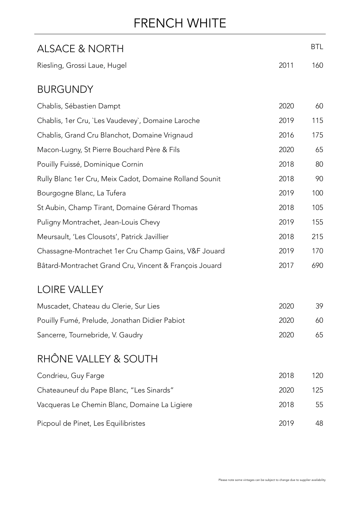### FRENCH WHITE

| <b>ALSACE &amp; NORTH</b>                               |      | <b>BTL</b> |
|---------------------------------------------------------|------|------------|
| Riesling, Grossi Laue, Hugel                            | 2011 | 160        |
| <b>BURGUNDY</b>                                         |      |            |
| Chablis, Sébastien Dampt                                | 2020 | 60         |
| Chablis, 1er Cru, `Les Vaudevey`, Domaine Laroche       | 2019 | 115        |
| Chablis, Grand Cru Blanchot, Domaine Vrignaud           | 2016 | 175        |
| Macon-Lugny, St Pierre Bouchard Père & Fils             | 2020 | 65         |
| Pouilly Fuissé, Dominique Cornin                        | 2018 | 80         |
| Rully Blanc 1er Cru, Meix Cadot, Domaine Rolland Sounit | 2018 | 90         |
| Bourgogne Blanc, La Tufera                              | 2019 | 100        |
| St Aubin, Champ Tirant, Domaine Gérard Thomas           | 2018 | 105        |
| Puligny Montrachet, Jean-Louis Chevy                    | 2019 | 155        |
| Meursault, 'Les Clousots', Patrick Javillier            | 2018 | 215        |
| Chassagne-Montrachet 1er Cru Champ Gains, V&F Jouard    | 2019 | 170        |
| Bâtard-Montrachet Grand Cru, Vincent & François Jouard  | 2017 | 690        |
| <b>LOIRE VALLEY</b>                                     |      |            |
| Muscadet, Chateau du Clerie, Sur Lies                   | 2020 | 39         |
| Pouilly Fumé, Prelude, Jonathan Didier Pabiot           | 2020 | 60         |
| Sancerre, Tournebride, V. Gaudry                        | 2020 | 65         |
| RHÔNE VALLEY & SOUTH                                    |      |            |
| Condrieu, Guy Farge                                     | 2018 | 120        |
| Chateauneuf du Pape Blanc, "Les Sinards"                | 2020 | 125        |
| Vacqueras Le Chemin Blanc, Domaine La Ligiere           | 2018 | 55         |
| Picpoul de Pinet, Les Equilibristes                     | 2019 | 48         |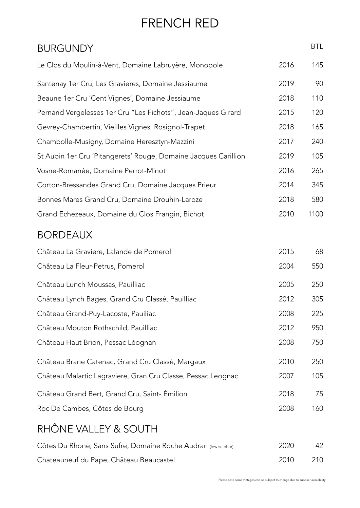## FRENCH RED

| <b>BURGUNDY</b>                                                 |      | <b>BTL</b> |
|-----------------------------------------------------------------|------|------------|
| Le Clos du Moulin-à-Vent, Domaine Labruyère, Monopole           | 2016 | 145        |
| Santenay 1er Cru, Les Gravieres, Domaine Jessiaume              | 2019 | 90         |
| Beaune 1er Cru 'Cent Vignes', Domaine Jessiaume                 | 2018 | 110        |
| Pernand Vergelesses 1er Cru "Les Fichots", Jean-Jaques Girard   | 2015 | 120        |
| Gevrey-Chambertin, Vieilles Vignes, Rosignol-Trapet             | 2018 | 165        |
| Chambolle-Musigny, Domaine Heresztyn-Mazzini                    | 2017 | 240        |
| St Aubin 1er Cru 'Pitangerets' Rouge, Domaine Jacques Carillion | 2019 | 105        |
| Vosne-Romanée, Domaine Perrot-Minot                             | 2016 | 265        |
| Corton-Bressandes Grand Cru, Domaine Jacques Prieur             | 2014 | 345        |
| Bonnes Mares Grand Cru, Domaine Drouhin-Laroze                  | 2018 | 580        |
| Grand Echezeaux, Domaine du Clos Frangin, Bichot                | 2010 | 1100       |
| <b>BORDEAUX</b>                                                 |      |            |
| Château La Graviere, Lalande de Pomerol                         | 2015 | 68         |
| Château La Fleur-Petrus, Pomerol                                | 2004 | 550        |
| Château Lunch Moussas, Pauilliac                                | 2005 | 250        |
| Château Lynch Bages, Grand Cru Classé, Pauilliac                | 2012 | 305        |
| Château Grand-Puy-Lacoste, Pauiliac                             | 2008 | 225        |
| Château Mouton Rothschild, Pauilliac                            | 2012 | 950        |
| Château Haut Brion, Pessac Léognan                              | 2008 | 750        |
| Château Brane Catenac, Grand Cru Classé, Margaux                | 2010 | 250        |
| Château Malartic Lagraviere, Gran Cru Classe, Pessac Leognac    | 2007 | 105        |
| Château Grand Bert, Grand Cru, Saint-Émilion                    | 2018 | 75         |
| Roc De Cambes, Côtes de Bourg                                   | 2008 | 160        |
| RHÔNE VALLEY & SOUTH                                            |      |            |
| Côtes Du Rhone, Sans Sufre, Domaine Roche Audran (low sulphur)  | 2020 | 42         |
| Chateauneuf du Pape, Château Beaucastel                         | 2010 | 210        |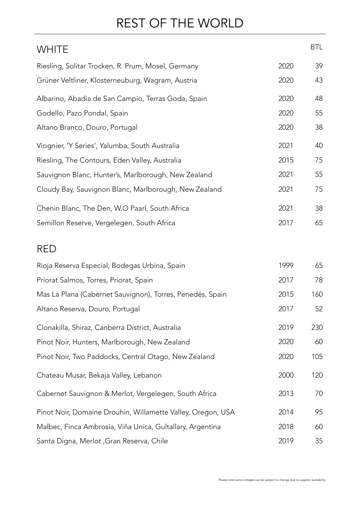## REST OF THE WORLD

| <b>WHITE</b>                                          |      | <b>BTL</b> |
|-------------------------------------------------------|------|------------|
| Riesling, Solitar Trocken, R. Prum, Mosel, Germany    | 2020 | 39         |
| Grüner Veltliner, Klosterneuburg, Wagram, Austria     | 2020 | 43         |
| Albarino, Abadia de San Campio, Terras Goda, Spain    | 2020 | 48         |
| Godello, Pazo Pondal, Spain                           | 2020 | 55         |
| Altano Branco, Douro, Portugal                        | 2020 | 38         |
| Viognier, 'Y Series', Yalumba, South Australia        | 2021 | 40         |
| Riesling, The Contours, Eden Valley, Australia        | 2015 | 75         |
| Sauvignon Blanc, Hunter's, Marlborough, New Zealand   | 2021 | 55         |
| Cloudy Bay, Sauvignon Blanc, Marlborough, New Zealand | 2021 | 75         |
| Chenin Blanc, The Den, W.O Paarl, South Africa        | 2021 | 38         |
| Semillon Reserve, Vergelegen, South Africa            | 2017 | 65         |
|                                                       |      |            |

#### RED

| Rioja Reserva Especial, Bodegas Urbina, Spain               | 1999 | 65  |
|-------------------------------------------------------------|------|-----|
| Priorat Salmos, Torres, Priorat, Spain                      | 2017 | 78  |
| Mas La Plana (Cabernet Sauvignon), Torres, Penedés, Spain   | 2015 | 160 |
| Altano Reserva, Douro, Portugal                             | 2017 | 52  |
| Clonakilla, Shiraz, Canberra District, Australia            | 2019 | 230 |
| Pinot Noir, Hunters, Marlborough, New Zealand               | 2020 | 60  |
| Pinot Noir, Two Paddocks, Central Otago, New Zealand        | 2020 | 105 |
| Chateau Musar, Bekaja Valley, Lebanon                       | 2000 | 120 |
| Cabernet Sauvignon & Merlot, Vergelegen, South Africa       | 2013 | 70  |
| Pinot Noir, Domaine Drouhin, Willamette Valley, Oregon, USA | 2014 | 95  |
| Malbec, Finca Ambrosía, Viña Unica, Gultallary, Argentina   | 2018 | 60  |
| Santa Digna, Merlot, Gran Reserva, Chile                    | 2019 | 35  |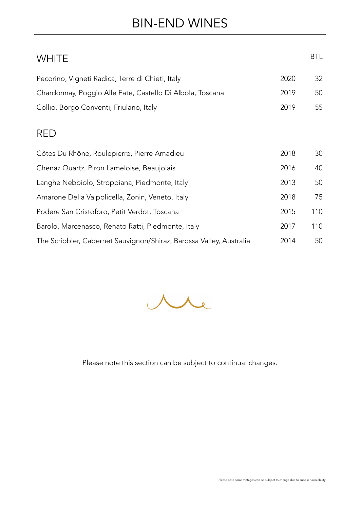### BIN-END WINES

| <b>WHITE</b>                                                        |      | <b>BTL</b> |
|---------------------------------------------------------------------|------|------------|
| Pecorino, Vigneti Radica, Terre di Chieti, Italy                    | 2020 | 32         |
| Chardonnay, Poggio Alle Fate, Castello Di Albola, Toscana           | 2019 | 50         |
| Collio, Borgo Conventi, Friulano, Italy                             | 2019 | 55         |
| <b>RED</b>                                                          |      |            |
| Côtes Du Rhône, Roulepierre, Pierre Amadieu                         | 2018 | 30         |
| Chenaz Quartz, Piron Lameloise, Beaujolais                          | 2016 | 40         |
| Langhe Nebbiolo, Stroppiana, Piedmonte, Italy                       | 2013 | 50         |
| Amarone Della Valpolicella, Zonin, Veneto, Italy                    | 2018 | 75         |
| Podere San Cristoforo, Petit Verdot, Toscana                        | 2015 | 110        |
| Barolo, Marcenasco, Renato Ratti, Piedmonte, Italy                  | 2017 | 110        |
| The Scribbler, Cabernet Sauvignon/Shiraz, Barossa Valley, Australia | 2014 | 50         |



Please note this section can be subject to continual changes.